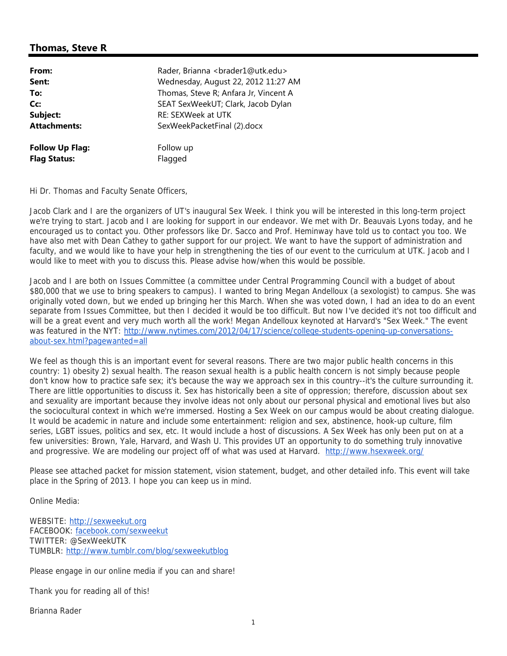## **Thomas, Steve R**

| From:<br>Sent:                                | Rader, Brianna <brader1@utk.edu><br/>Wednesday, August 22, 2012 11:27 AM</brader1@utk.edu> |
|-----------------------------------------------|--------------------------------------------------------------------------------------------|
| To:                                           | Thomas, Steve R; Anfara Jr, Vincent A                                                      |
| Cc:                                           | SEAT SexWeekUT; Clark, Jacob Dylan                                                         |
| Subject:                                      | <b>RE: SEXWeek at UTK</b>                                                                  |
| <b>Attachments:</b>                           | SexWeekPacketFinal (2).docx                                                                |
| <b>Follow Up Flag:</b><br><b>Flag Status:</b> | Follow up<br>Flagged                                                                       |

Hi Dr. Thomas and Faculty Senate Officers,

Jacob Clark and I are the organizers of UT's inaugural Sex Week. I think you will be interested in this long-term project we're trying to start. Jacob and I are looking for support in our endeavor. We met with Dr. Beauvais Lyons today, and he encouraged us to contact you. Other professors like Dr. Sacco and Prof. Heminway have told us to contact you too. We have also met with Dean Cathey to gather support for our project. We want to have the support of administration and faculty, and we would like to have your help in strengthening the ties of our event to the curriculum at UTK. Jacob and I would like to meet with you to discuss this. Please advise how/when this would be possible.

Jacob and I are both on Issues Committee (a committee under Central Programming Council with a budget of about \$80,000 that we use to bring speakers to campus). I wanted to bring Megan Andelloux (a sexologist) to campus. She was originally voted down, but we ended up bringing her this March. When she was voted down, I had an idea to do an event separate from Issues Committee, but then I decided it would be too difficult. But now I've decided it's not too difficult and will be a great event and very much worth all the work! Megan Andelloux keynoted at Harvard's "Sex Week." The event was featured in the NYT: http://www.nytimes.com/2012/04/17/science/college-students-opening-up-conversationsabout-sex.html?pagewanted=all

We feel as though this is an important event for several reasons. There are two major public health concerns in this country: 1) obesity 2) sexual health. The reason sexual health is a public health concern is not simply because people don't know how to practice safe sex; it's because the way we approach sex in this country--it's the culture surrounding it. There are little opportunities to discuss it. Sex has historically been a site of oppression; therefore, discussion about sex and sexuality are important because they involve ideas not only about our personal physical and emotional lives but also the sociocultural context in which we're immersed. Hosting a Sex Week on our campus would be about creating dialogue. It would be academic in nature and include some entertainment: religion and sex, abstinence, hook-up culture, film series, LGBT issues, politics and sex, etc. It would include a host of discussions. A Sex Week has only been put on at a few universities: Brown, Yale, Harvard, and Wash U. This provides UT an opportunity to do something truly innovative and progressive. We are modeling our project off of what was used at Harvard. http://www.hsexweek.org/

Please see attached packet for mission statement, vision statement, budget, and other detailed info. This event will take place in the Spring of 2013. I hope you can keep us in mind.

Online Media:

WEBSITE: http://sexweekut.org FACEBOOK: facebook.com/sexweekut TWITTER: @SexWeekUTK TUMBLR: http://www.tumblr.com/blog/sexweekutblog

Please engage in our online media if you can and share!

Thank you for reading all of this!

Brianna Rader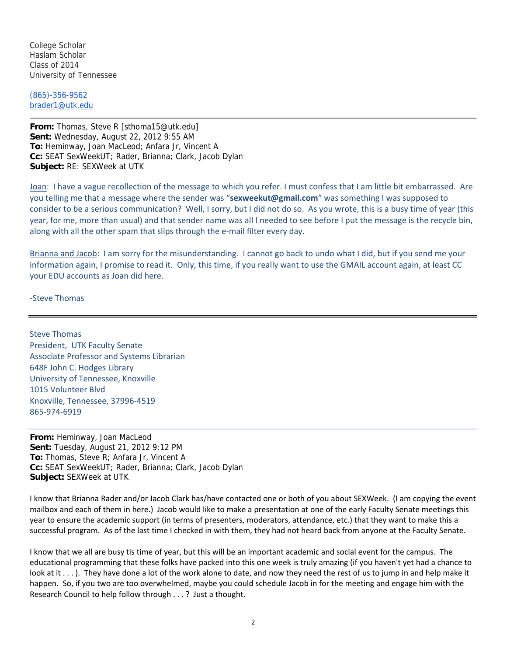College Scholar Haslam Scholar Class of 2014 University of Tennessee

(865)-356-9562 brader1@utk.edu

**From:** Thomas, Steve R [sthoma15@utk.edu] **Sent:** Wednesday, August 22, 2012 9:55 AM **To:** Heminway, Joan MacLeod; Anfara Jr, Vincent A **Cc:** SEAT SexWeekUT; Rader, Brianna; Clark, Jacob Dylan **Subject:** RE: SEXWeek at UTK

Joan: I have a vague recollection of the message to which you refer. I must confess that I am little bit embarrassed. Are you telling me that a message where the sender was "**sexweekut@gmail.com**" was something I was supposed to consider to be a serious communication? Well, I sorry, but I did not do so. As you wrote, this is a busy time of year (this year, for me, more than usual) and that sender name was all I needed to see before I put the message is the recycle bin, along with all the other spam that slips through the e-mail filter every day.

Brianna and Jacob: I am sorry for the misunderstanding. I cannot go back to undo what I did, but if you send me your information again, I promise to read it. Only, this time, if you really want to use the GMAIL account again, at least CC your EDU accounts as Joan did here.

‐Steve Thomas

Steve Thomas President, UTK Faculty Senate Associate Professor and Systems Librarian 648F John C. Hodges Library University of Tennessee, Knoxville 1015 Volunteer Blvd Knoxville, Tennessee, 37996‐4519 865‐974‐6919

**From:** Heminway, Joan MacLeod **Sent:** Tuesday, August 21, 2012 9:12 PM **To:** Thomas, Steve R; Anfara Jr, Vincent A **Cc:** SEAT SexWeekUT; Rader, Brianna; Clark, Jacob Dylan **Subject:** SEXWeek at UTK

I know that Brianna Rader and/or Jacob Clark has/have contacted one or both of you about SEXWeek. (I am copying the event mailbox and each of them in here.) Jacob would like to make a presentation at one of the early Faculty Senate meetings this year to ensure the academic support (in terms of presenters, moderators, attendance, etc.) that they want to make this a successful program. As of the last time I checked in with them, they had not heard back from anyone at the Faculty Senate.

I know that we all are busy tis time of year, but this will be an important academic and social event for the campus. The educational programming that these folks have packed into this one week is truly amazing (if you haven't yet had a chance to look at it . . . ). They have done a lot of the work alone to date, and now they need the rest of us to jump in and help make it happen. So, if you two are too overwhelmed, maybe you could schedule Jacob in for the meeting and engage him with the Research Council to help follow through . . . ? Just a thought.